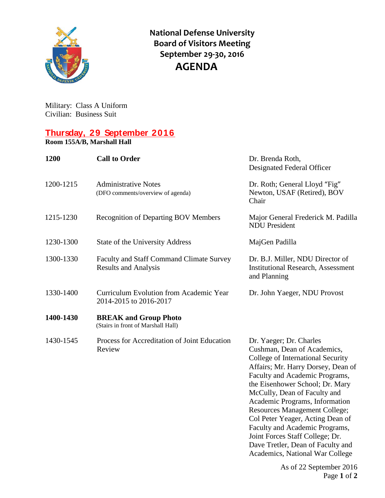

**National Defense University Board of Visitors Meeting September 29-30, 2016 AGENDA**

Military: Class A Uniform Civilian: Business Suit

## **Thursday, 29 September 2016**

**Room 155A/B, Marshall Hall**

| 1200      | <b>Call to Order</b>                                                           | Dr. Brenda Roth,<br>Designated Federal Officer                                                                                                                                                                                                                                                                                                                                                                                                                                                    |
|-----------|--------------------------------------------------------------------------------|---------------------------------------------------------------------------------------------------------------------------------------------------------------------------------------------------------------------------------------------------------------------------------------------------------------------------------------------------------------------------------------------------------------------------------------------------------------------------------------------------|
| 1200-1215 | <b>Administrative Notes</b><br>(DFO comments/overview of agenda)               | Dr. Roth; General Lloyd "Fig"<br>Newton, USAF (Retired), BOV<br>Chair                                                                                                                                                                                                                                                                                                                                                                                                                             |
| 1215-1230 | <b>Recognition of Departing BOV Members</b>                                    | Major General Frederick M. Padilla<br><b>NDU</b> President                                                                                                                                                                                                                                                                                                                                                                                                                                        |
| 1230-1300 | State of the University Address                                                | MajGen Padilla                                                                                                                                                                                                                                                                                                                                                                                                                                                                                    |
| 1300-1330 | <b>Faculty and Staff Command Climate Survey</b><br><b>Results and Analysis</b> | Dr. B.J. Miller, NDU Director of<br><b>Institutional Research, Assessment</b><br>and Planning                                                                                                                                                                                                                                                                                                                                                                                                     |
| 1330-1400 | Curriculum Evolution from Academic Year<br>2014-2015 to 2016-2017              | Dr. John Yaeger, NDU Provost                                                                                                                                                                                                                                                                                                                                                                                                                                                                      |
| 1400-1430 | <b>BREAK and Group Photo</b><br>(Stairs in front of Marshall Hall)             |                                                                                                                                                                                                                                                                                                                                                                                                                                                                                                   |
| 1430-1545 | Process for Accreditation of Joint Education<br>Review                         | Dr. Yaeger; Dr. Charles<br>Cushman, Dean of Academics,<br>College of International Security<br>Affairs; Mr. Harry Dorsey, Dean of<br>Faculty and Academic Programs,<br>the Eisenhower School; Dr. Mary<br>McCully, Dean of Faculty and<br>Academic Programs, Information<br><b>Resources Management College;</b><br>Col Peter Yeager, Acting Dean of<br>Faculty and Academic Programs,<br>Joint Forces Staff College; Dr.<br>Dave Tretler, Dean of Faculty and<br>Academics, National War College |

As of 22 September 2016 Page **1** of **2**